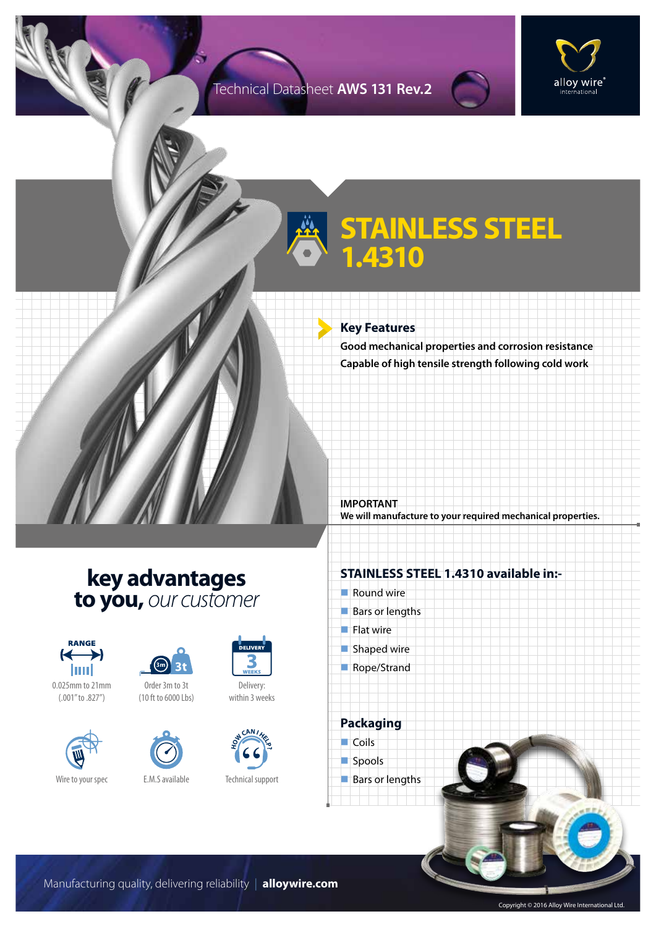## Technical Datasheet **AWS 131 Rev.2**



## **STAINLESS STEEL 1.4310**

#### **Key Features**

**Good mechanical properties and corrosion resistance Capable of high tensile strength following cold work**

**IMPORTANT We will manufacture to your required mechanical properties.**

## **key advantages to you,** *our customer*



0.025mm to 21mm (.001" to .827")





(10 ft to 6000 Lbs)





Technical support

### **STAINLESS STEEL 1.4310 available in:-**

- $\blacksquare$  Round wire
- $Bars$  or lengths
- $\blacksquare$  Flat wire
- $\blacksquare$  Shaped wire
- Rope/Strand

**Packaging**  $\Box$  Coils



 $\blacksquare$  Bars or lengths

Manufacturing quality, delivering reliability | **alloywire.com**

Copyright © 2016 Alloy Wire International Ltd.